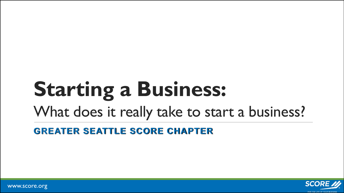# **Starting a Business:**

What does it really take to start a business?

**GREATER SEATTLE SCORE CHAPTER**



www.score.org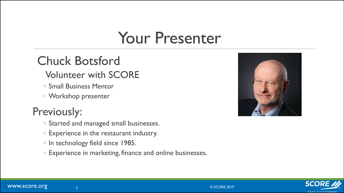### Your Presenter

#### Chuck Botsford

#### Volunteer with SCORE

- Small Business Mentor
- Workshop presenter

#### Previously:

- Started and managed small businesses.
- Experience in the restaurant industry.
- In technology field since 1985.
- Experience in marketing, finance and online businesses.



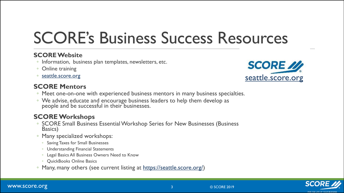## SCORE's Business Success Resources

3

#### **SCORE Website**

- Information, business plan templates, newsletters, etc.
- Online training
- [seattle.score.org](http://seattle.score.org/)

#### **SCORE Mentors**

- Meet one-on-one with experienced business mentors in many business specialties.
- We advise, educate and encourage business leaders to help them develop as people and be successful in their businesses.

#### **SCORE Workshops**

- SCORE Small Business Essential Workshop Series for New Businesses (Business Basics)
- Many specialized workshops:
	- Saving Taxes for Small Businesses
	- Understanding Financial Statements
	- Legal Basics All Business Owners Need to Know
	- QuickBooks Online Basics
- Many, many others (see current listing at [https://seattle.score.org/\)](https://seattle.score.org/)





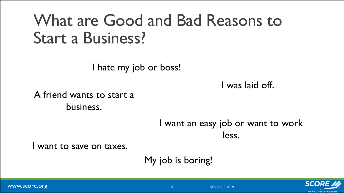### What are Good and Bad Reasons to Start a Business?

I hate my job or boss!

I was laid off.

A friend wants to start a business.

> I want an easy job or want to work less.

I want to save on taxes.

My job is boring!

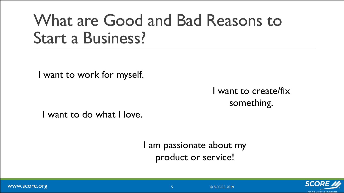### What are Good and Bad Reasons to Start a Business?

I want to work for myself.

I want to create/fix something.

I want to do what I love.

I am passionate about my product or service!

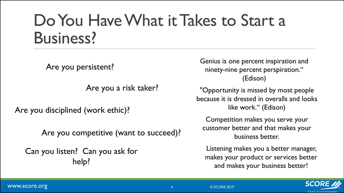### Do You Have What it Takes to Start a Business?

Are you persistent?

Are you a risk taker?

Are you disciplined (work ethic)?

Are you competitive (want to succeed)?

Can you listen? Can you ask for help?

Genius is one percent inspiration and ninety-nine percent perspiration." (Edison)

"Opportunity is missed by most people because it is dressed in overalls and looks like work." (Edison)

Competition makes you serve your customer better and that makes your business better.

Listening makes you a better manager, makes your product or services better and makes your business better!

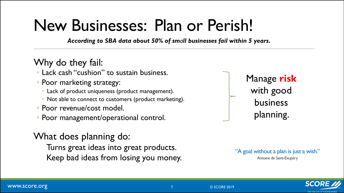## New Businesses: Plan or Perish!

*According to SBA data about 50% of small businesses fail within 5 years.* 

#### Why do they fail:

- Lack cash "cushion" to sustain business.
- Poor marketing strategy:
	- Lack of product uniqueness (product management).
	- Not able to connect to customers (product marketing).
- Poor revenue/cost model.
- Poor management/operational control.

#### What does planning do:

Turns great ideas into great products. Keep bad ideas from losing you money. Manage **risk** with good business planning.

"A goal without a plan is just a wish." Antoine de Saint-Exupéry

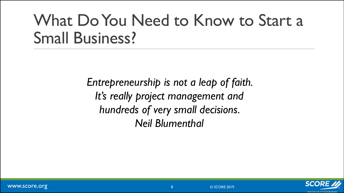## What Do You Need to Know to Start a Small Business?

*Entrepreneurship is not a leap of faith. It's really project management and hundreds of very small decisions. Neil Blumenthal* 

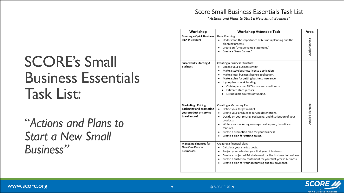#### Score Small Business Essentials Task List

"Actions and Plans to Start a New Small Business"

### SCORE's Small Business Essentials Task List:

"*Actions and Plans to Start a New Small Business"*

| Workshop                                                                                   | Workshop Attendee Task                                                                                                                                                                                                                                                                                                                                                            | Area              |
|--------------------------------------------------------------------------------------------|-----------------------------------------------------------------------------------------------------------------------------------------------------------------------------------------------------------------------------------------------------------------------------------------------------------------------------------------------------------------------------------|-------------------|
| <b>Creating a Quick Business</b><br>Plan in 3 Hours                                        | Basic Planning:<br>Understand the importance of business planning and the<br>٠<br>planning process.<br>Create an "Unique Value Statement."<br>٠<br>Create a "Lean Canvas."                                                                                                                                                                                                        | Quick Planning    |
| <b>Successfully Starting A</b><br><b>Business</b>                                          | Creating a Business Structure:<br>Choose your business entity.<br>٠<br>Make a state business license application<br>٠<br>Make a local business license application.<br>٠<br>Make a plan for getting business insurance.<br>٠<br>If you plan to seek funding:<br>Obtain personal FICO score and credit record.<br>· Estimate startup costs.<br>• List possible sources of funding. |                   |
| Marketing: Pricing,<br>packaging and promoting<br>your product or service<br>to sell more! | Creating a Marketing Plan:<br>Define your target market.<br>٠<br>Create your product or service descriptions.<br>Decide on your pricing, packaging, and distribution of your<br>$\bullet$<br>products.<br>Write your marketing message: value prop, benefits &<br>٠<br>features.<br>Create a promotion plan for your business.<br>Create a plan for getting online.<br>٠          | Detailed Planning |
| <b>Managing Finances for</b><br><b>New One Person</b><br><b>Businesses</b>                 | Creating a financial plan:<br>Calculate your startup costs.<br>٠<br>Project your sales for your first year of business.<br>٠<br>Create a projected P/L statement for the first year in business.<br>٠<br>Create a Cash Flow Statement for your first year in business.<br>٠<br>Create a plan for your accounting and tax payments.<br>٠                                           |                   |

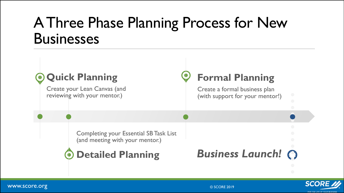#### A Three Phase Planning Process for New **Businesses**





www.score.org  $@$  SCORE 2019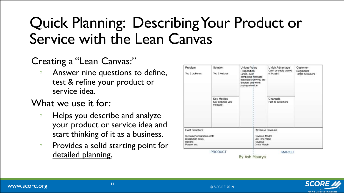### Quick Planning: Describing Your Product or Service with the Lean Canvas

#### Creating a "Lean Canvas:"

◦ Answer nine questions to define, test & refine your product or service idea.

#### What we use it for:

- Helps you describe and analyze your product or service idea and start thinking of it as a business.
- Provides a solid starting point for detailed planning.

| Problem<br>Top 3 problems                                                                     | Solution<br>Top 3 features                   | Unique Value<br>Proposition<br>Single, clear,<br>compelling message<br>that states why you are<br>different and worth<br>paying attention | Unfair Advantage<br>Can't be easily copied<br>or bought | Customer<br>Segments<br>Target customers |
|-----------------------------------------------------------------------------------------------|----------------------------------------------|-------------------------------------------------------------------------------------------------------------------------------------------|---------------------------------------------------------|------------------------------------------|
|                                                                                               | Key Metrics<br>Key activities you<br>measure |                                                                                                                                           | Channels<br>Path to customers                           |                                          |
| Cost Structure<br>Customer Acquisition costs<br>Distribution costs<br>Hosting<br>People, etc. |                                              | Revenue Streams<br>Revenue Model<br>Life Time Value<br>Revenue<br>Gross Margin                                                            |                                                         |                                          |
|                                                                                               | PRODUCT                                      | By Ash Maurya                                                                                                                             | <b>MARKET</b>                                           |                                          |

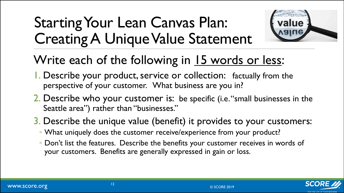### Starting Your Lean Canvas Plan: Creating A Unique Value Statement



#### Write each of the following in 15 words or less:

- 1. Describe your product, service or collection: factually from the perspective of your customer. What business are you in?
- 2. Describe who your customer is: be specific (i.e. "small businesses in the Seattle area") rather than "businesses."
- 3. Describe the unique value (benefit) it provides to your customers:
	- What uniquely does the customer receive/experience from your product?
	- Don't list the features. Describe the benefits your customer receives in words of your customers. Benefits are generally expressed in gain or loss.

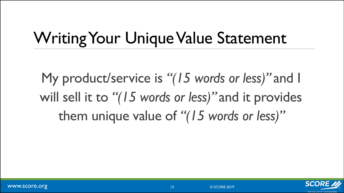## Writing Your Unique Value Statement

My product/service is *"(15 words or less)"* and I will sell it to *"(15 words or less)"* and it provides them unique value of *"(15 words or less)"* 

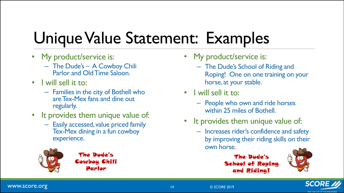## Unique Value Statement: Examples

- My product/service is:
	- The Dude's A Cowboy Chili Parlor and Old Time Saloon.
- I will sell it to:
	- Families in the city of Bothell who are Tex-Mex fans and dine out regularly.
- It provides them unique value of:
	- Easily accessed, value priced family Tex-Mex dining in a fun cowboy experience.



The Dude's Cowboy Chili Parlor

- My product/service is:
	- The Dude's School of Riding and Roping! One on one training on your horse, at your stable.
- I will sell it to:
	- People who own and ride horses within 25 miles of Bothell.
- It provides them unique value of:
	- Increases rider's confidence and safety by improving their riding skills on their own horse.





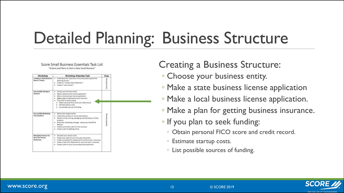## Detailed Planning: Business Structure

| Workshop                                                            | <b>Workshop Attendee Task</b>                                                                                                                                                                                                                                                                                                                 | Area                  |
|---------------------------------------------------------------------|-----------------------------------------------------------------------------------------------------------------------------------------------------------------------------------------------------------------------------------------------------------------------------------------------------------------------------------------------|-----------------------|
| Creating a Quick Business<br>Plan in 5 Hours                        | Understand the importance of business planning and the<br>٠<br>planning process.<br>Create an "Linique Value Statement"<br>٠<br>Create a "Lean Canves."                                                                                                                                                                                       | <b>Quick Planning</b> |
| Successfully Starting A<br><b>Business</b>                          | Choose your business entity.<br>٠<br>Make a state business license application<br>٠<br>Make a local business license application.<br>٠<br>Make a plan for getting business irourance.<br>٠<br>If you plan to seek funding:<br>. Obtain personal FICO score and credit record.<br>Estimate starfus costs<br>· List possible sources of funding |                       |
| <b>Successfully Marketing</b><br><b>Your Business</b>               | Define their target market.<br>٠<br>Create their product or service descriptions.<br>۰<br>Decide on their arising, packaging, and distribution of their<br>٠<br>products.<br>. Write their marketing message, value grop, benefits &<br>features.<br>Create a promotion plan for their business.<br>Create a plan for getting colline.        | Detailed Planning     |
| <b>Munaging Finances for</b><br>New One Person<br><b>Businesses</b> | Calculate your startup costs.<br>٠<br>Project your rales for your first year of business.<br>٠<br>Create a projected P/L statement for the first year in business.<br>٠<br>Create a Cash Plow Statement for your first year in business.<br>٠<br>Create a plan for your accounting and tax payments.                                          |                       |

Score Small Business Essentials Task List "Actions and Plans to Start a New Small Business"

#### Creating a Business Structure:

- Choose your business entity.
- Make a state business license application
- Make a local business license application.
- Make a plan for getting business insurance.
- If you plan to seek funding:
	- Obtain personal FICO score and credit record.
	- Estimate startup costs.
	- List possible sources of funding.

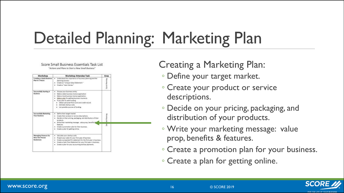## Detailed Planning: Marketing Plan

| Workshop                                                            | Workshop Attendee Task                                                                                                                                                                                                                                                                                                            | Area                  |
|---------------------------------------------------------------------|-----------------------------------------------------------------------------------------------------------------------------------------------------------------------------------------------------------------------------------------------------------------------------------------------------------------------------------|-----------------------|
| Creating a Quick Business<br>Plan in 5 Hours                        | Understand the importance of business planning and the<br>٠<br>planning process.<br>Create an "Linique Value Statement"<br>٠<br>Crisate a "Learn Camusa."                                                                                                                                                                         | <b>Quick Planning</b> |
| Successfully Starting A<br><b>Husleess</b>                          | Choose your business entity.<br>٠<br>Make a state business license application<br>Make a local business license application.<br>Make a plan for getting business irourience.<br>If you plan to seek funding:<br>٠<br>Obtain personal FICO score and credit record.<br>Estimate startup costs:<br>Dist possible sources of funding |                       |
| <b>Successfully Marketing</b><br><b>Your Business</b>               | Define their target market.<br>٠<br>Create their product or service descriptions.<br>۰<br>Decide on their arising, packaging, and dutribution of their<br>products.<br>. Write their marketing message, value grop, benefits \$<br>features.<br>Create a promotion plan for their business.<br>Create a plan for getting online.  | Planning<br>Ė<br>8    |
| <b>Munaging Finances for</b><br>New One Person<br><b>Businesses</b> | Calculate your startup costs.<br>٠<br>Project your sales for your first year of butiness.<br>٠<br>Create a projected P/L statement for the first year in business.<br>٠<br>Create a Cash Flow Statement for your first year in business.<br>٠<br>Create a plan for your accounting and tax payments.                              |                       |

Score Small Business Essentials Task List "Actions and Plans to Start a New Small Business"

Creating a Marketing Plan:

- Define your target market.
- Create your product or service descriptions.
- Decide on your pricing, packaging, and distribution of your products.
- Write your marketing message: value prop, benefits & features.
- Create a promotion plan for your business.
- Create a plan for getting online.

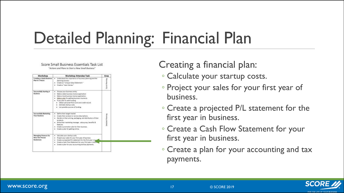## Detailed Planning: Financial Plan

Workshop **Workshop Attendee Task** Area Creating a Quick Business . Understand the importance of business planning and the Plan in 5 Hours planning process. · Create an "Unique Value Statement." · Creaters "Learn Camuss." Successfully Starting A · Choose whose business writing **Business** · Make a state business license application · Make a local business license application . Make a plan for getting business maurance. . If you plan to seek funding: · Obtain personal FICO score and credit record · Estimate startup costs. · List possible sources of funding Successfully Marketing . Define their target market. **Your Business** · Create their product or service descriptions. . Decide on their arising, packaging, and distribution of their products. . Write their marketing message, value prop, benefits & features. . Create a promotion plan for their business. . Create a plan for getting crime. **Managing Finances for** · Calculate your startup costs New One Person . Project your railes for your first year of business. Businesses . Create a projected P/L statement for the first year in but . Create a Cash Plow Statement for your first year in busin . Create a plan for your accounting and tax payments.

Score Small Business Essentials Task List "Actions and Plans to Start a New Small Business"

Creating a financial plan:

- Calculate your startup costs.
- Project your sales for your first year of business.
- Create a projected P/L statement for the first year in business.
- Create a Cash Flow Statement for your first year in business.
- Create a plan for your accounting and tax payments.

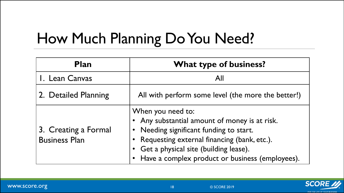### How Much Planning Do You Need?

| <b>Plan</b>                                  | <b>What type of business?</b>                                                                                                                                                                                                                        |
|----------------------------------------------|------------------------------------------------------------------------------------------------------------------------------------------------------------------------------------------------------------------------------------------------------|
| I. Lean Canvas                               | All                                                                                                                                                                                                                                                  |
| 2. Detailed Planning                         | All with perform some level (the more the better!)                                                                                                                                                                                                   |
| 3. Creating a Formal<br><b>Business Plan</b> | When you need to:<br>Any substantial amount of money is at risk.<br>Needing significant funding to start.<br>Requesting external financing (bank, etc.).<br>Get a physical site (building lease).<br>Have a complex product or business (employees). |

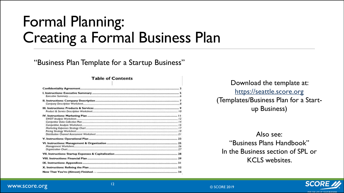#### Formal Planning: Creating a Formal Business Plan

#### "Business Plan Template for a Startup Business"

#### **Table of Contents**

Download the template at: [https://seattle.score.org](https://seattle.score.org/) (Templates/Business Plan for a Startup Business)

Also see: "Business Plans Handbook" In the Business section of SPL or KCLS websites.

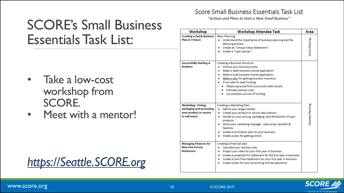#### SCORE's Small Business Essentials Task List:

- Take a low-cost workshop from SCORE.
- Meet with a mentor!



#### Score Small Business Essentials Task List

"Actions and Plans to Start a New Small Business"

| Workshop                                                                   | Workshop Attendee Task                                                                                                                                                                                                                                                                                                                                                                                            | Area              |
|----------------------------------------------------------------------------|-------------------------------------------------------------------------------------------------------------------------------------------------------------------------------------------------------------------------------------------------------------------------------------------------------------------------------------------------------------------------------------------------------------------|-------------------|
| <b>Creating a Quick Business</b><br>Plan in 3 Hours                        | Basic Planning:<br>Understand the importance of business planning and the<br>٠<br>planning process.<br>Create an "Unique Value Statement."<br>٠<br>Create a "Lean Canvas."                                                                                                                                                                                                                                        | Quick Planning    |
| <b>Successfully Starting A</b><br><b>Business</b><br>Marketing: Pricing,   | Creating a Business Structure:<br>Choose your business entity.<br>٠<br>Make a state business license application<br>٠<br>Make a local business license application.<br>٠<br>Make a plan for getting business insurance.<br>٠<br>• If you plan to seek funding:<br>Obtain personal FICO score and credit record.<br>· Estimate startup costs.<br>• List possible sources of funding.<br>Creating a Marketing Plan: |                   |
| packaging and promoting<br>your product or service<br>to sell more!        | Define your target market.<br>٠<br>Create your product or service descriptions.<br>$\bullet$<br>Decide on your pricing, packaging, and distribution of your<br>$\bullet$<br>products.<br>Write your marketing message: value prop, benefits &<br>٠<br>features.<br>Create a promotion plan for your business.<br>$\bullet$<br>Create a plan for getting online.                                                   | Detailed Planning |
| <b>Managing Finances for</b><br><b>New One Person</b><br><b>Businesses</b> | Creating a financial plan:<br>Calculate your startup costs.<br>$\bullet$<br>Project your sales for your first year of business.<br>$\bullet$<br>Create a projected P/L statement for the first year in business.<br>Create a Cash Flow Statement for your first year in business.<br>Create a plan for your accounting and tax payments.                                                                          |                   |

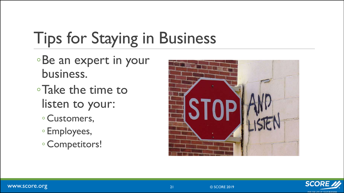## Tips for Staying in Business

- ◦Be an expert in your business.
- ◦Take the time to listen to your:
	- Customers,
	- Employees,
	- Competitors!



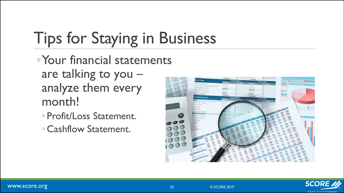## Tips for Staying in Business

◦Your financial statements are talking to you – analyze them every month!

- Profit/Loss Statement.
- Cashflow Statement.



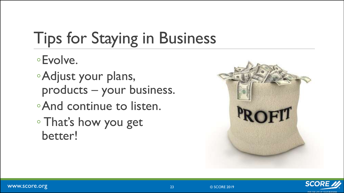## Tips for Staying in Business

#### ◦Evolve.

◦Adjust your plans, products – your business.

- ◦And continue to listen.
- That's how you get better!



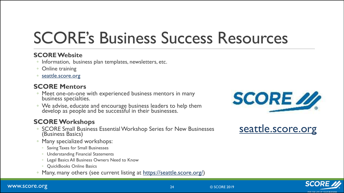## SCORE's Business Success Resources

#### **SCORE Website**

- Information, business plan templates, newsletters, etc.
- Online training
- [seattle.score.org](http://seattle.score.org/)

#### **SCORE Mentors**

- Meet one-on-one with experienced business mentors in many business specialties.
- We advise, educate and encourage business leaders to help them develop as people and be successful in their businesses.

#### **SCORE Workshops**

- SCORE Small Business Essential Workshop Series for New Businesses (Business Basics)
- Many specialized workshops:
	- Saving Taxes for Small Businesses
	- Understanding Financial Statements
	- Legal Basics All Business Owners Need to Know
	- QuickBooks Online Basics
- Many, many others (see current listing at [https://seattle.score.org/\)](https://seattle.score.org/)